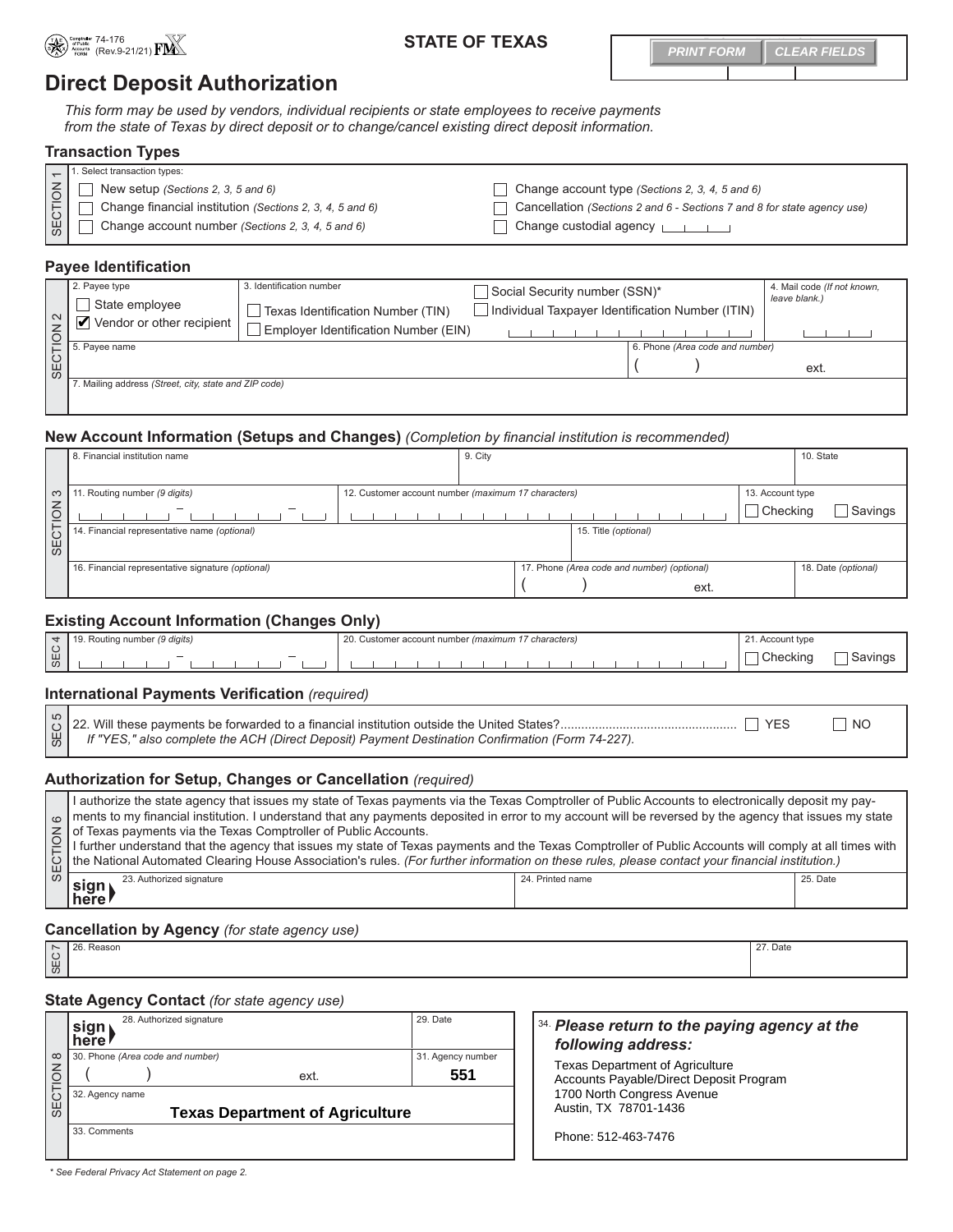

# 74-176 (Rev.9-21/21) **STATE OF TEXAS**

**PRINT FORM CLEAR FIELDS** 

# **Direct Deposit Authorization**

*This form may be used by vendors, individual recipients or state employees to receive payments from the state of Texas by direct deposit or to change/cancel existing direct deposit information.* 

|         | <b>Transaction Types</b>                                 |                                                                         |  |  |  |
|---------|----------------------------------------------------------|-------------------------------------------------------------------------|--|--|--|
|         | . Select transaction types:                              |                                                                         |  |  |  |
| SECTION | New setup (Sections 2, 3, 5 and 6)                       | Change account type (Sections 2, 3, 4, 5 and 6)                         |  |  |  |
|         | Change financial institution (Sections 2, 3, 4, 5 and 6) | Cancellation (Sections 2 and 6 - Sections 7 and 8 for state agency use) |  |  |  |
|         | Change account number (Sections 2, 3, 4, 5 and 6)        | Change custodial agency $\Box$                                          |  |  |  |

### **Payee Identification**

| 2. Payee type<br>State employee<br>.<br>∫ Vendor or other recipient                                                                                                                                                                                                                                                                                                                                                                                                                                                   | 3. Identification number<br>Texas Identification Number (TIN) | Social Security number (SSN)*<br>Individual Taxpayer Identification Number (ITIN) |                                 | 4. Mail code (If not known,<br>leave blank.) |
|-----------------------------------------------------------------------------------------------------------------------------------------------------------------------------------------------------------------------------------------------------------------------------------------------------------------------------------------------------------------------------------------------------------------------------------------------------------------------------------------------------------------------|---------------------------------------------------------------|-----------------------------------------------------------------------------------|---------------------------------|----------------------------------------------|
|                                                                                                                                                                                                                                                                                                                                                                                                                                                                                                                       | Employer Identification Number (EIN)                          |                                                                                   |                                 |                                              |
|                                                                                                                                                                                                                                                                                                                                                                                                                                                                                                                       |                                                               |                                                                                   | 6. Phone (Area code and number) |                                              |
| $\begin{array}{c}\n 6. \text{Page name} \\ 6. \text{Type name} \\ \hline\n 0. \text{Type name} \\ \hline\n 0. \text{Type name} \\ \hline\n 0. \text{Type name} \\ \hline\n 0. \text{Type name} \\ \hline\n 0. \text{Type name} \\ \hline\n 0. \text{Type name} \\ \hline\n 0. \text{Type name} \\ \hline\n 0. \text{Type name} \\ \hline\n 0. \text{Type name} \\ \hline\n 0. \text{Type name} \\ \hline\n 0. \text{Type name} \\ \hline\n 0. \text{Type name} \\ \hline\n 0. \text{Type name} \\ \hline\n 0. \text{$ |                                                               |                                                                                   |                                 | ext.                                         |
| Mailing address (Street, city, state and ZIP code)                                                                                                                                                                                                                                                                                                                                                                                                                                                                    |                                                               |                                                                                   |                                 |                                              |
|                                                                                                                                                                                                                                                                                                                                                                                                                                                                                                                       |                                                               |                                                                                   |                                 |                                              |

### **New Account Information (Setups and Changes)** *(Completion by financial institution is recommended)*

|        | 8. Financial institution name                     |                                                     | 9. City |                                             |      |                  | 10. State           |
|--------|---------------------------------------------------|-----------------------------------------------------|---------|---------------------------------------------|------|------------------|---------------------|
|        |                                                   |                                                     |         |                                             |      |                  |                     |
| က      | Routing number (9 digits)                         | 12. Customer account number (maximum 17 characters) |         |                                             |      | 13. Account type |                     |
| $\leq$ |                                                   |                                                     |         |                                             |      | Checking         | Savings             |
|        | 14. Financial representative name (optional)      |                                                     |         | 15. Title (optional)                        |      |                  |                     |
| ⊕<br>S |                                                   |                                                     |         |                                             |      |                  |                     |
|        | 16. Financial representative signature (optional) |                                                     |         | 17. Phone (Area code and number) (optional) |      |                  | 18. Date (optional) |
|        |                                                   |                                                     |         |                                             | ext. |                  |                     |

## **Existing Account Information (Changes Only)**

|   | Routing number (9 digits)<br>$\ddotsc$ | 17 characters)<br>nber <i>(maximum</i><br>r account num<br>∴ustomer | Account type |  |
|---|----------------------------------------|---------------------------------------------------------------------|--------------|--|
| ₩ | $\overline{\phantom{0}}$               |                                                                     | Checking     |  |

# **International Payments Verification** *(required)*

| $\left \frac{W}{W}\right $ If "YES," also complete the ACH (Direct Deposit) Payment Destination Confirmation (Form 74-227). |  |
|-----------------------------------------------------------------------------------------------------------------------------|--|

### **Authorization for Setup, Changes or Cancellation** *(required)*

| I authorize the state agency that issues my state of Texas payments via the Texas Comptroller of Public Accounts to electronically deposit my pay-<br>o   ments to my financial institution. I understand that any payments deposited in error to my account will be reversed by the agency that issues my state<br>$\mathbf{z}$ of Texas payments via the Texas Comptroller of Public Accounts.<br>$\lvert\frac{\textsf{O}}{\textsf{O}}\rvert$ i further understand that the agency that issues my state of Texas payments and the Texas Comptroller of Public Accounts will comply at all times with<br>O the National Automated Clearing House Association's rules. (For further information on these rules, please contact your financial institution.) |                  |          |
|-------------------------------------------------------------------------------------------------------------------------------------------------------------------------------------------------------------------------------------------------------------------------------------------------------------------------------------------------------------------------------------------------------------------------------------------------------------------------------------------------------------------------------------------------------------------------------------------------------------------------------------------------------------------------------------------------------------------------------------------------------------|------------------|----------|
| 23. Authorized signature<br>$\vert$ sign $\vert$ here                                                                                                                                                                                                                                                                                                                                                                                                                                                                                                                                                                                                                                                                                                       | 24. Printed name | 25. Date |

### **Cancellation by Agency** *(for state agency use)*

| ' ∼ | <sup>36</sup> Reason | -<br>7. Date |
|-----|----------------------|--------------|
|     |                      |              |
| l 있 |                      |              |
|     |                      |              |

### **State Agency Contact** *(for state agency use)*

|            | 28. Authorized signature<br>sign<br>here | 29. Date          |  | 34. Please return to the paying agency at the<br>following address:               |
|------------|------------------------------------------|-------------------|--|-----------------------------------------------------------------------------------|
| $\infty$   | 30. Phone (Area code and number)         | 31. Agency number |  |                                                                                   |
|            | ext.                                     | 551               |  | <b>Texas Department of Agriculture</b><br>Accounts Payable/Direct Deposit Program |
|            | 32. Agency name                          |                   |  | 1700 North Congress Avenue                                                        |
| <b>SEC</b> | <b>Texas Department of Agriculture</b>   |                   |  | Austin, TX 78701-1436                                                             |
|            | 33. Comments                             |                   |  | Phone: 512-463-7476                                                               |

*\* See Federal Privacy Act Statement on page 2.*